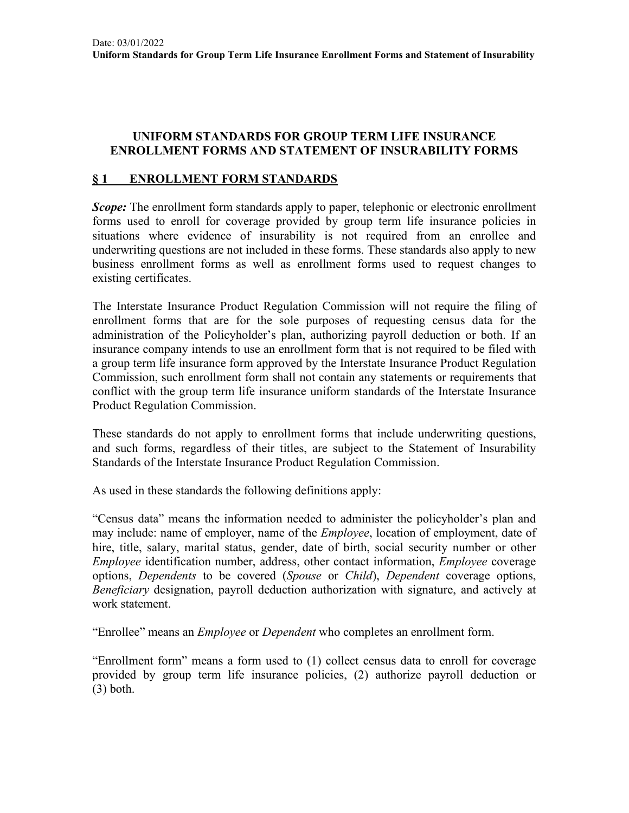### **UNIFORM STANDARDS FOR GROUP TERM LIFE INSURANCE ENROLLMENT FORMS AND STATEMENT OF INSURABILITY FORMS**

### **§ 1 ENROLLMENT FORM STANDARDS**

*Scope*: The enrollment form standards apply to paper, telephonic or electronic enrollment forms used to enroll for coverage provided by group term life insurance policies in situations where evidence of insurability is not required from an enrollee and underwriting questions are not included in these forms. These standards also apply to new business enrollment forms as well as enrollment forms used to request changes to existing certificates.

The Interstate Insurance Product Regulation Commission will not require the filing of enrollment forms that are for the sole purposes of requesting census data for the administration of the Policyholder's plan, authorizing payroll deduction or both. If an insurance company intends to use an enrollment form that is not required to be filed with a group term life insurance form approved by the Interstate Insurance Product Regulation Commission, such enrollment form shall not contain any statements or requirements that conflict with the group term life insurance uniform standards of the Interstate Insurance Product Regulation Commission.

These standards do not apply to enrollment forms that include underwriting questions, and such forms, regardless of their titles, are subject to the Statement of Insurability Standards of the Interstate Insurance Product Regulation Commission.

As used in these standards the following definitions apply:

"Census data" means the information needed to administer the policyholder's plan and may include: name of employer, name of the *Employee*, location of employment, date of hire, title, salary, marital status, gender, date of birth, social security number or other *Employee* identification number, address, other contact information, *Employee* coverage options, *Dependents* to be covered (*Spouse* or *Child*), *Dependent* coverage options, *Beneficiary* designation, payroll deduction authorization with signature, and actively at work statement.

"Enrollee" means an *Employee* or *Dependent* who completes an enrollment form.

"Enrollment form" means a form used to (1) collect census data to enroll for coverage provided by group term life insurance policies, (2) authorize payroll deduction or (3) both.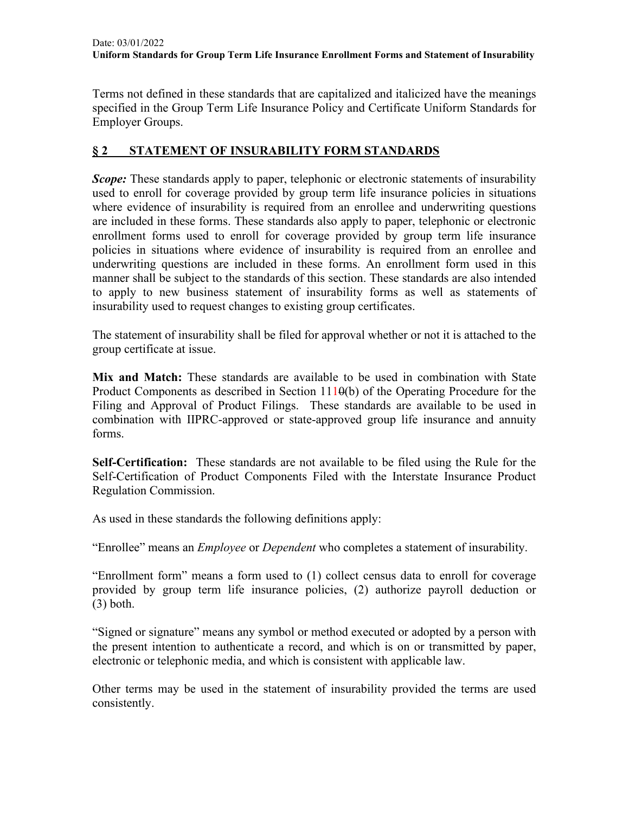Terms not defined in these standards that are capitalized and italicized have the meanings specified in the Group Term Life Insurance Policy and Certificate Uniform Standards for Employer Groups.

## **§ 2 STATEMENT OF INSURABILITY FORM STANDARDS**

*Scope:* These standards apply to paper, telephonic or electronic statements of insurability used to enroll for coverage provided by group term life insurance policies in situations where evidence of insurability is required from an enrollee and underwriting questions are included in these forms. These standards also apply to paper, telephonic or electronic enrollment forms used to enroll for coverage provided by group term life insurance policies in situations where evidence of insurability is required from an enrollee and underwriting questions are included in these forms. An enrollment form used in this manner shall be subject to the standards of this section. These standards are also intended to apply to new business statement of insurability forms as well as statements of insurability used to request changes to existing group certificates.

The statement of insurability shall be filed for approval whether or not it is attached to the group certificate at issue.

**Mix and Match:** These standards are available to be used in combination with State Product Components as described in Section 1110(b) of the Operating Procedure for the Filing and Approval of Product Filings. These standards are available to be used in combination with IIPRC-approved or state-approved group life insurance and annuity forms.

**Self-Certification:** These standards are not available to be filed using the Rule for the Self-Certification of Product Components Filed with the Interstate Insurance Product Regulation Commission.

As used in these standards the following definitions apply:

"Enrollee" means an *Employee* or *Dependent* who completes a statement of insurability.

"Enrollment form" means a form used to (1) collect census data to enroll for coverage provided by group term life insurance policies, (2) authorize payroll deduction or (3) both.

"Signed or signature" means any symbol or method executed or adopted by a person with the present intention to authenticate a record, and which is on or transmitted by paper, electronic or telephonic media, and which is consistent with applicable law.

Other terms may be used in the statement of insurability provided the terms are used consistently.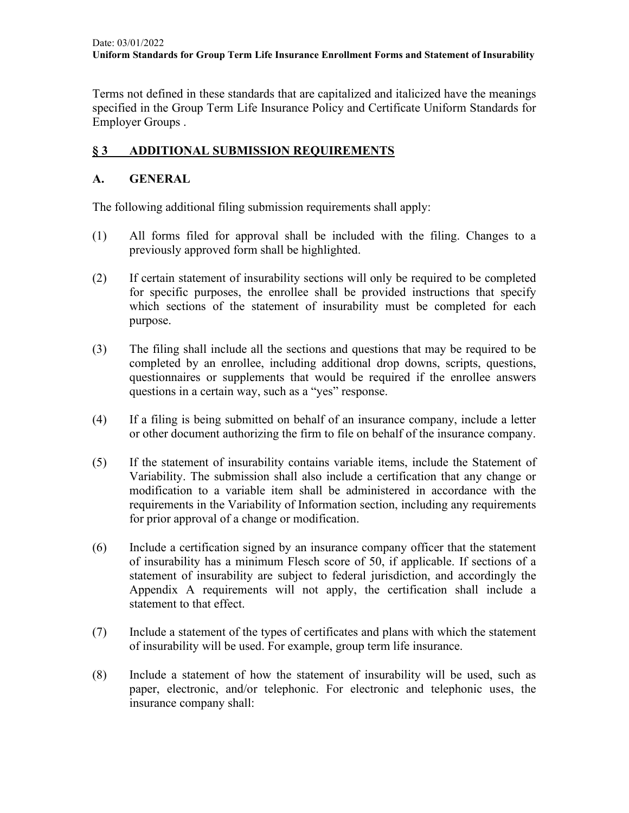Terms not defined in these standards that are capitalized and italicized have the meanings specified in the Group Term Life Insurance Policy and Certificate Uniform Standards for Employer Groups .

# **§ 3 ADDITIONAL SUBMISSION REQUIREMENTS**

## **A. GENERAL**

The following additional filing submission requirements shall apply:

- (1) All forms filed for approval shall be included with the filing. Changes to a previously approved form shall be highlighted.
- (2) If certain statement of insurability sections will only be required to be completed for specific purposes, the enrollee shall be provided instructions that specify which sections of the statement of insurability must be completed for each purpose.
- (3) The filing shall include all the sections and questions that may be required to be completed by an enrollee, including additional drop downs, scripts, questions, questionnaires or supplements that would be required if the enrollee answers questions in a certain way, such as a "yes" response.
- (4) If a filing is being submitted on behalf of an insurance company, include a letter or other document authorizing the firm to file on behalf of the insurance company.
- (5) If the statement of insurability contains variable items, include the Statement of Variability. The submission shall also include a certification that any change or modification to a variable item shall be administered in accordance with the requirements in the Variability of Information section, including any requirements for prior approval of a change or modification.
- (6) Include a certification signed by an insurance company officer that the statement of insurability has a minimum Flesch score of 50, if applicable. If sections of a statement of insurability are subject to federal jurisdiction, and accordingly the Appendix A requirements will not apply, the certification shall include a statement to that effect.
- (7) Include a statement of the types of certificates and plans with which the statement of insurability will be used. For example, group term life insurance.
- (8) Include a statement of how the statement of insurability will be used, such as paper, electronic, and/or telephonic. For electronic and telephonic uses, the insurance company shall: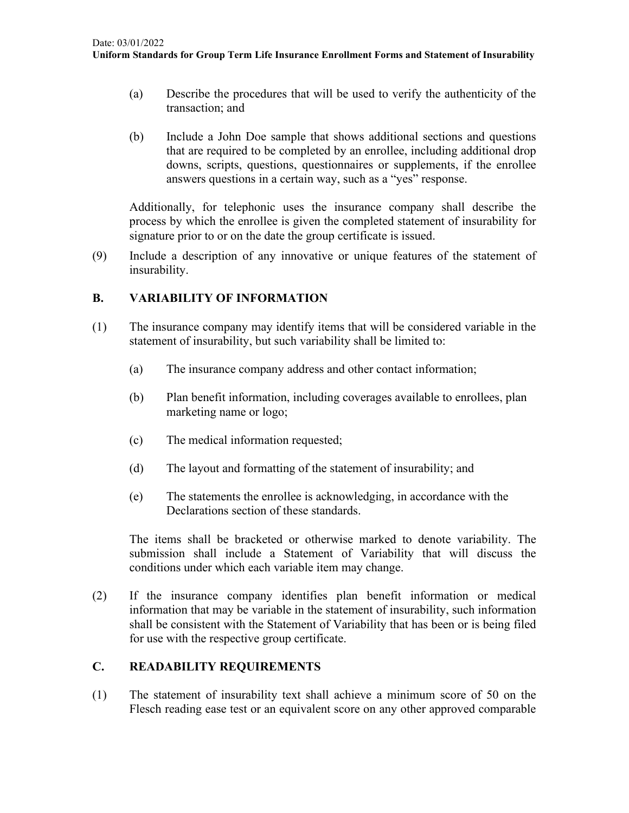- (a) Describe the procedures that will be used to verify the authenticity of the transaction; and
- (b) Include a John Doe sample that shows additional sections and questions that are required to be completed by an enrollee, including additional drop downs, scripts, questions, questionnaires or supplements, if the enrollee answers questions in a certain way, such as a "yes" response.

Additionally, for telephonic uses the insurance company shall describe the process by which the enrollee is given the completed statement of insurability for signature prior to or on the date the group certificate is issued.

(9) Include a description of any innovative or unique features of the statement of insurability.

## **B. VARIABILITY OF INFORMATION**

- (1) The insurance company may identify items that will be considered variable in the statement of insurability, but such variability shall be limited to:
	- (a) The insurance company address and other contact information;
	- (b) Plan benefit information, including coverages available to enrollees, plan marketing name or logo;
	- (c) The medical information requested;
	- (d) The layout and formatting of the statement of insurability; and
	- (e) The statements the enrollee is acknowledging, in accordance with the Declarations section of these standards.

The items shall be bracketed or otherwise marked to denote variability. The submission shall include a Statement of Variability that will discuss the conditions under which each variable item may change.

(2) If the insurance company identifies plan benefit information or medical information that may be variable in the statement of insurability, such information shall be consistent with the Statement of Variability that has been or is being filed for use with the respective group certificate.

### **C. READABILITY REQUIREMENTS**

(1) The statement of insurability text shall achieve a minimum score of 50 on the Flesch reading ease test or an equivalent score on any other approved comparable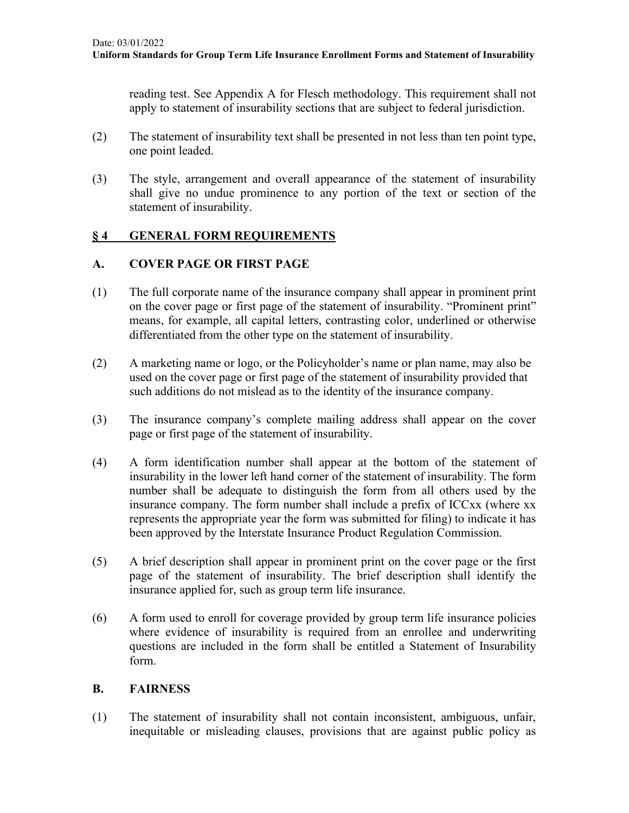reading test. See Appendix A for Flesch methodology. This requirement shall not apply to statement of insurability sections that are subject to federal jurisdiction.

- (2) The statement of insurability text shall be presented in not less than ten point type, one point leaded.
- (3) The style, arrangement and overall appearance of the statement of insurability shall give no undue prominence to any portion of the text or section of the statement of insurability.

## **§ 4 GENERAL FORM REQUIREMENTS**

### **A. COVER PAGE OR FIRST PAGE**

- (1) The full corporate name of the insurance company shall appear in prominent print on the cover page or first page of the statement of insurability. "Prominent print" means, for example, all capital letters, contrasting color, underlined or otherwise differentiated from the other type on the statement of insurability.
- (2) A marketing name or logo, or the Policyholder's name or plan name, may also be used on the cover page or first page of the statement of insurability provided that such additions do not mislead as to the identity of the insurance company.
- (3) The insurance company's complete mailing address shall appear on the cover page or first page of the statement of insurability.
- (4) A form identification number shall appear at the bottom of the statement of insurability in the lower left hand corner of the statement of insurability. The form number shall be adequate to distinguish the form from all others used by the insurance company. The form number shall include a prefix of ICCxx (where xx represents the appropriate year the form was submitted for filing) to indicate it has been approved by the Interstate Insurance Product Regulation Commission.
- (5) A brief description shall appear in prominent print on the cover page or the first page of the statement of insurability. The brief description shall identify the insurance applied for, such as group term life insurance.
- (6) A form used to enroll for coverage provided by group term life insurance policies where evidence of insurability is required from an enrollee and underwriting questions are included in the form shall be entitled a Statement of Insurability form.

### **B. FAIRNESS**

(1) The statement of insurability shall not contain inconsistent, ambiguous, unfair, inequitable or misleading clauses, provisions that are against public policy as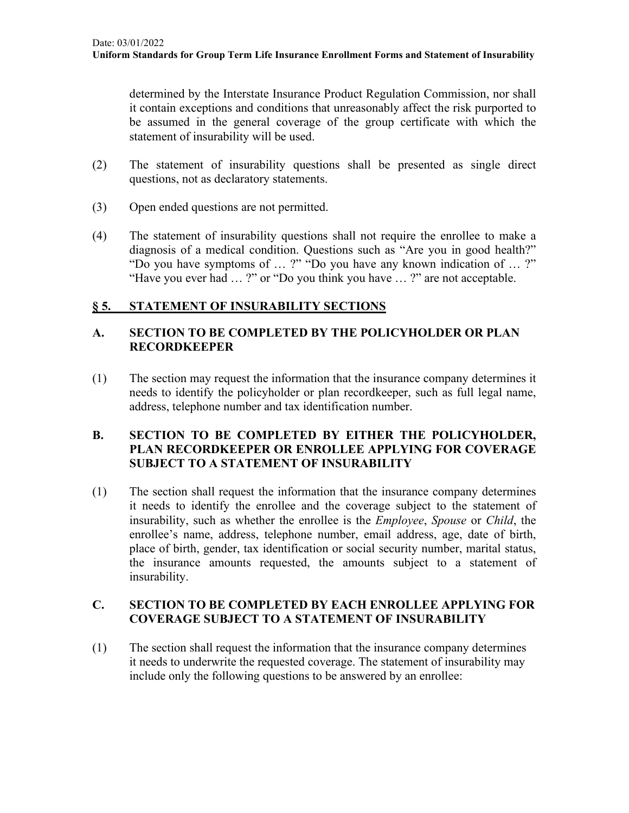determined by the Interstate Insurance Product Regulation Commission, nor shall it contain exceptions and conditions that unreasonably affect the risk purported to be assumed in the general coverage of the group certificate with which the statement of insurability will be used.

- (2) The statement of insurability questions shall be presented as single direct questions, not as declaratory statements.
- (3) Open ended questions are not permitted.
- (4) The statement of insurability questions shall not require the enrollee to make a diagnosis of a medical condition. Questions such as "Are you in good health?" "Do you have symptoms of … ?" "Do you have any known indication of … ?" "Have you ever had … ?" or "Do you think you have … ?" are not acceptable.

# **§ 5. STATEMENT OF INSURABILITY SECTIONS**

# **A. SECTION TO BE COMPLETED BY THE POLICYHOLDER OR PLAN RECORDKEEPER**

(1) The section may request the information that the insurance company determines it needs to identify the policyholder or plan recordkeeper, such as full legal name, address, telephone number and tax identification number.

### **B. SECTION TO BE COMPLETED BY EITHER THE POLICYHOLDER, PLAN RECORDKEEPER OR ENROLLEE APPLYING FOR COVERAGE SUBJECT TO A STATEMENT OF INSURABILITY**

(1) The section shall request the information that the insurance company determines it needs to identify the enrollee and the coverage subject to the statement of insurability, such as whether the enrollee is the *Employee*, *Spouse* or *Child*, the enrollee's name, address, telephone number, email address, age, date of birth, place of birth, gender, tax identification or social security number, marital status, the insurance amounts requested, the amounts subject to a statement of insurability.

## **C. SECTION TO BE COMPLETED BY EACH ENROLLEE APPLYING FOR COVERAGE SUBJECT TO A STATEMENT OF INSURABILITY**

(1) The section shall request the information that the insurance company determines it needs to underwrite the requested coverage. The statement of insurability may include only the following questions to be answered by an enrollee: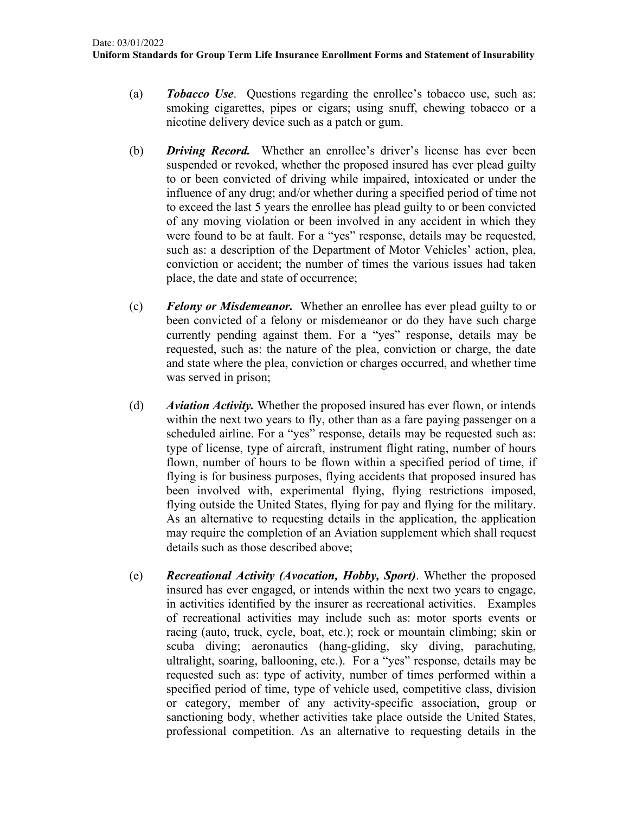- (a) *Tobacco Use*. Questions regarding the enrollee's tobacco use, such as: smoking cigarettes, pipes or cigars; using snuff, chewing tobacco or a nicotine delivery device such as a patch or gum.
- (b) *Driving Record.* Whether an enrollee's driver's license has ever been suspended or revoked, whether the proposed insured has ever plead guilty to or been convicted of driving while impaired, intoxicated or under the influence of any drug; and/or whether during a specified period of time not to exceed the last 5 years the enrollee has plead guilty to or been convicted of any moving violation or been involved in any accident in which they were found to be at fault. For a "yes" response, details may be requested, such as: a description of the Department of Motor Vehicles' action, plea, conviction or accident; the number of times the various issues had taken place, the date and state of occurrence;
- (c) *Felony or Misdemeanor.* Whether an enrollee has ever plead guilty to or been convicted of a felony or misdemeanor or do they have such charge currently pending against them. For a "yes" response, details may be requested, such as: the nature of the plea, conviction or charge, the date and state where the plea, conviction or charges occurred, and whether time was served in prison;
- (d) *Aviation Activity.* Whether the proposed insured has ever flown, or intends within the next two years to fly, other than as a fare paying passenger on a scheduled airline. For a "yes" response, details may be requested such as: type of license, type of aircraft, instrument flight rating, number of hours flown, number of hours to be flown within a specified period of time, if flying is for business purposes, flying accidents that proposed insured has been involved with, experimental flying, flying restrictions imposed, flying outside the United States, flying for pay and flying for the military. As an alternative to requesting details in the application, the application may require the completion of an Aviation supplement which shall request details such as those described above;
- (e) *Recreational Activity (Avocation, Hobby, Sport)*. Whether the proposed insured has ever engaged, or intends within the next two years to engage, in activities identified by the insurer as recreational activities. Examples of recreational activities may include such as: motor sports events or racing (auto, truck, cycle, boat, etc.); rock or mountain climbing; skin or scuba diving; aeronautics (hang-gliding, sky diving, parachuting, ultralight, soaring, ballooning, etc.). For a "yes" response, details may be requested such as: type of activity, number of times performed within a specified period of time, type of vehicle used, competitive class, division or category, member of any activity-specific association, group or sanctioning body, whether activities take place outside the United States, professional competition. As an alternative to requesting details in the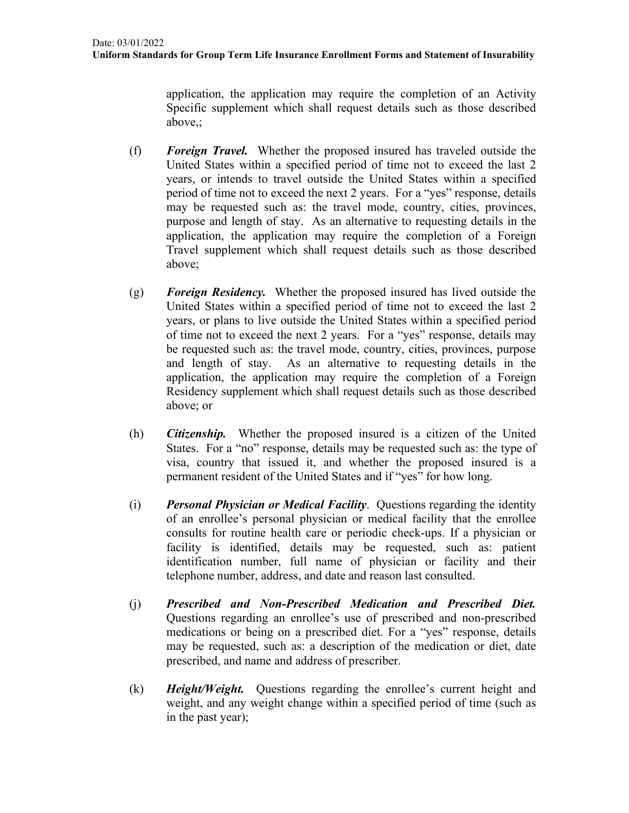application, the application may require the completion of an Activity Specific supplement which shall request details such as those described above,;

- (f) *Foreign Travel.* Whether the proposed insured has traveled outside the United States within a specified period of time not to exceed the last 2 years, or intends to travel outside the United States within a specified period of time not to exceed the next 2 years. For a "yes" response, details may be requested such as: the travel mode, country, cities, provinces, purpose and length of stay. As an alternative to requesting details in the application, the application may require the completion of a Foreign Travel supplement which shall request details such as those described above;
- (g) *Foreign Residency.* Whether the proposed insured has lived outside the United States within a specified period of time not to exceed the last 2 years, or plans to live outside the United States within a specified period of time not to exceed the next 2 years. For a "yes" response, details may be requested such as: the travel mode, country, cities, provinces, purpose and length of stay. As an alternative to requesting details in the application, the application may require the completion of a Foreign Residency supplement which shall request details such as those described above; or
- (h) *Citizenship.* Whether the proposed insured is a citizen of the United States. For a "no" response, details may be requested such as: the type of visa, country that issued it, and whether the proposed insured is a permanent resident of the United States and if "yes" for how long.
- (i) *Personal Physician or Medical Facility*. Questions regarding the identity of an enrollee's personal physician or medical facility that the enrollee consults for routine health care or periodic check-ups. If a physician or facility is identified, details may be requested, such as: patient identification number, full name of physician or facility and their telephone number, address, and date and reason last consulted.
- (j) *Prescribed and Non-Prescribed Medication and Prescribed Diet.* Questions regarding an enrollee's use of prescribed and non-prescribed medications or being on a prescribed diet. For a "yes" response, details may be requested, such as: a description of the medication or diet, date prescribed, and name and address of prescriber.
- (k) *Height/Weight.* Questions regarding the enrollee's current height and weight, and any weight change within a specified period of time (such as in the past year);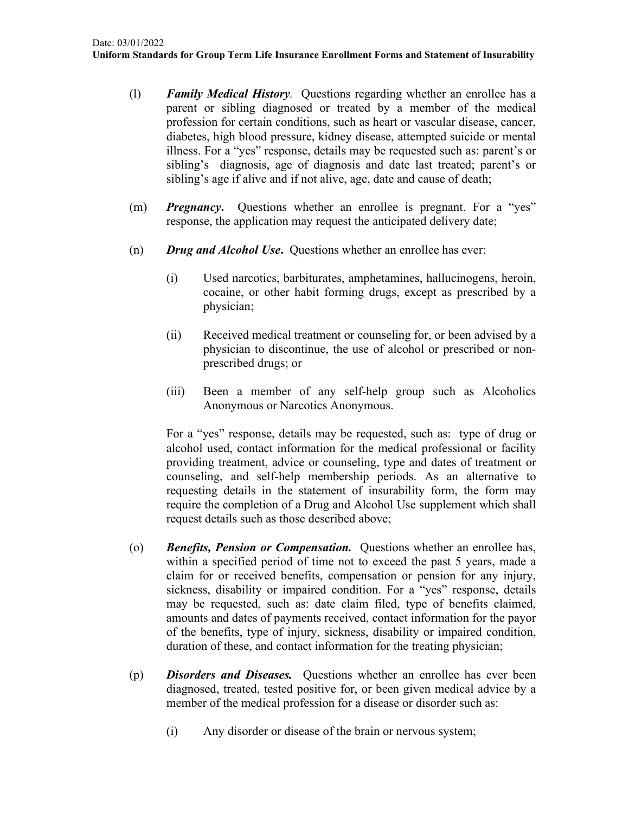- (l) *Family Medical History.* Questions regarding whether an enrollee has a parent or sibling diagnosed or treated by a member of the medical profession for certain conditions, such as heart or vascular disease, cancer, diabetes, high blood pressure, kidney disease, attempted suicide or mental illness. For a "yes" response, details may be requested such as: parent's or sibling's diagnosis, age of diagnosis and date last treated; parent's or sibling's age if alive and if not alive, age, date and cause of death;
- (m) *Pregnancy***.** Questions whether an enrollee is pregnant. For a "yes" response, the application may request the anticipated delivery date;
- (n) *Drug and Alcohol Use***.** Questions whether an enrollee has ever:
	- (i) Used narcotics, barbiturates, amphetamines, hallucinogens, heroin, cocaine, or other habit forming drugs, except as prescribed by a physician;
	- (ii) Received medical treatment or counseling for, or been advised by a physician to discontinue, the use of alcohol or prescribed or nonprescribed drugs; or
	- (iii) Been a member of any self-help group such as Alcoholics Anonymous or Narcotics Anonymous.

For a "yes" response, details may be requested, such as: type of drug or alcohol used, contact information for the medical professional or facility providing treatment, advice or counseling, type and dates of treatment or counseling, and self-help membership periods. As an alternative to requesting details in the statement of insurability form, the form may require the completion of a Drug and Alcohol Use supplement which shall request details such as those described above;

- (o) *Benefits, Pension or Compensation.* Questions whether an enrollee has, within a specified period of time not to exceed the past 5 years, made a claim for or received benefits, compensation or pension for any injury, sickness, disability or impaired condition. For a "yes" response, details may be requested, such as: date claim filed, type of benefits claimed, amounts and dates of payments received, contact information for the payor of the benefits, type of injury, sickness, disability or impaired condition, duration of these, and contact information for the treating physician;
- (p) *Disorders and Diseases.* Questions whether an enrollee has ever been diagnosed, treated, tested positive for, or been given medical advice by a member of the medical profession for a disease or disorder such as:
	- (i) Any disorder or disease of the brain or nervous system;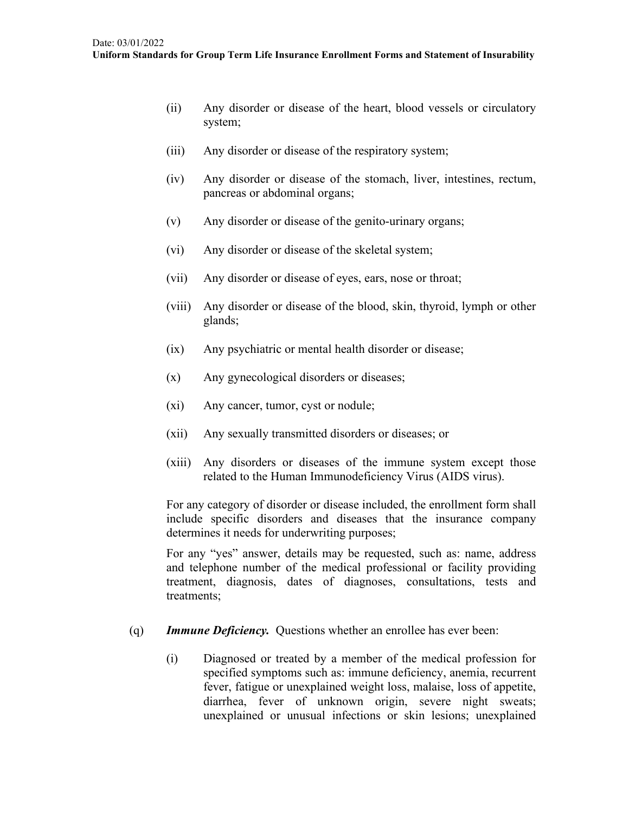- (ii) Any disorder or disease of the heart, blood vessels or circulatory system;
- (iii) Any disorder or disease of the respiratory system;
- (iv) Any disorder or disease of the stomach, liver, intestines, rectum, pancreas or abdominal organs;
- (v) Any disorder or disease of the genito-urinary organs;
- (vi) Any disorder or disease of the skeletal system;
- (vii) Any disorder or disease of eyes, ears, nose or throat;
- (viii) Any disorder or disease of the blood, skin, thyroid, lymph or other glands;
- (ix) Any psychiatric or mental health disorder or disease;
- (x) Any gynecological disorders or diseases;
- (xi) Any cancer, tumor, cyst or nodule;
- (xii) Any sexually transmitted disorders or diseases; or
- (xiii) Any disorders or diseases of the immune system except those related to the Human Immunodeficiency Virus (AIDS virus).

For any category of disorder or disease included, the enrollment form shall include specific disorders and diseases that the insurance company determines it needs for underwriting purposes;

For any "yes" answer, details may be requested, such as: name, address and telephone number of the medical professional or facility providing treatment, diagnosis, dates of diagnoses, consultations, tests and treatments;

- (q) *Immune Deficiency.* Questions whether an enrollee has ever been:
	- (i) Diagnosed or treated by a member of the medical profession for specified symptoms such as: immune deficiency, anemia, recurrent fever, fatigue or unexplained weight loss, malaise, loss of appetite, diarrhea, fever of unknown origin, severe night sweats; unexplained or unusual infections or skin lesions; unexplained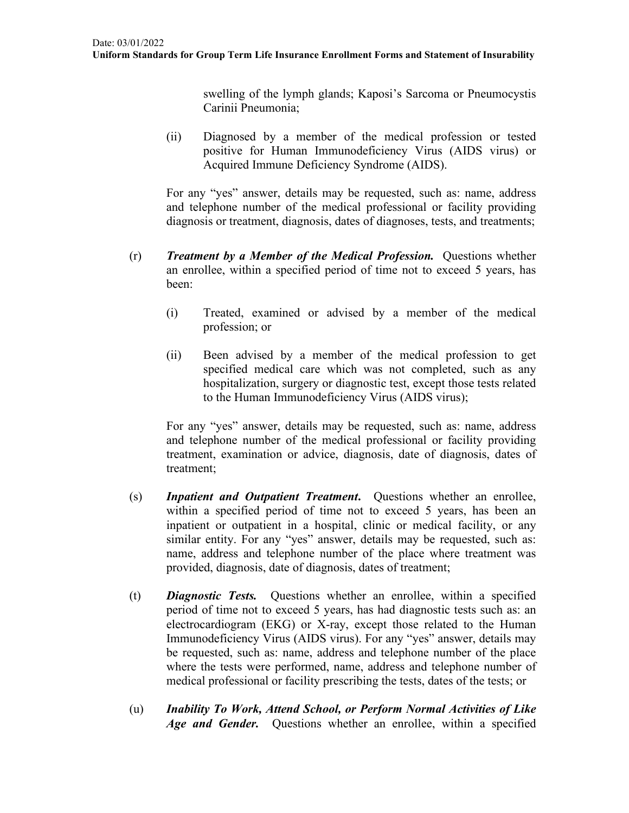swelling of the lymph glands; Kaposi's Sarcoma or Pneumocystis Carinii Pneumonia;

(ii) Diagnosed by a member of the medical profession or tested positive for Human Immunodeficiency Virus (AIDS virus) or Acquired Immune Deficiency Syndrome (AIDS).

For any "yes" answer, details may be requested, such as: name, address and telephone number of the medical professional or facility providing diagnosis or treatment, diagnosis, dates of diagnoses, tests, and treatments;

- (r) *Treatment by a Member of the Medical Profession.* Questions whether an enrollee, within a specified period of time not to exceed 5 years, has been:
	- (i) Treated, examined or advised by a member of the medical profession; or
	- (ii) Been advised by a member of the medical profession to get specified medical care which was not completed, such as any hospitalization, surgery or diagnostic test, except those tests related to the Human Immunodeficiency Virus (AIDS virus);

For any "yes" answer, details may be requested, such as: name, address and telephone number of the medical professional or facility providing treatment, examination or advice, diagnosis, date of diagnosis, dates of treatment;

- (s) *Inpatient and Outpatient Treatment***.** Questions whether an enrollee, within a specified period of time not to exceed 5 years, has been an inpatient or outpatient in a hospital, clinic or medical facility, or any similar entity. For any "yes" answer, details may be requested, such as: name, address and telephone number of the place where treatment was provided, diagnosis, date of diagnosis, dates of treatment;
- (t) *Diagnostic Tests.* Questions whether an enrollee, within a specified period of time not to exceed 5 years, has had diagnostic tests such as: an electrocardiogram (EKG) or X-ray, except those related to the Human Immunodeficiency Virus (AIDS virus). For any "yes" answer, details may be requested, such as: name, address and telephone number of the place where the tests were performed, name, address and telephone number of medical professional or facility prescribing the tests, dates of the tests; or
- (u) *Inability To Work, Attend School, or Perform Normal Activities of Like*  Age and Gender. Questions whether an enrollee, within a specified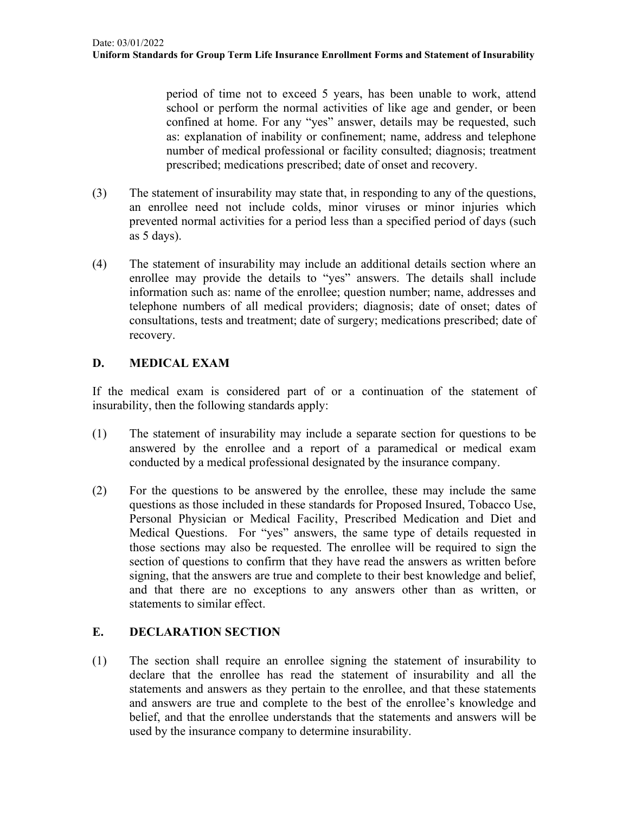period of time not to exceed 5 years, has been unable to work, attend school or perform the normal activities of like age and gender, or been confined at home. For any "yes" answer, details may be requested, such as: explanation of inability or confinement; name, address and telephone number of medical professional or facility consulted; diagnosis; treatment prescribed; medications prescribed; date of onset and recovery.

- (3) The statement of insurability may state that, in responding to any of the questions, an enrollee need not include colds, minor viruses or minor injuries which prevented normal activities for a period less than a specified period of days (such as 5 days).
- (4) The statement of insurability may include an additional details section where an enrollee may provide the details to "yes" answers. The details shall include information such as: name of the enrollee; question number; name, addresses and telephone numbers of all medical providers; diagnosis; date of onset; dates of consultations, tests and treatment; date of surgery; medications prescribed; date of recovery.

## **D. MEDICAL EXAM**

If the medical exam is considered part of or a continuation of the statement of insurability, then the following standards apply:

- (1) The statement of insurability may include a separate section for questions to be answered by the enrollee and a report of a paramedical or medical exam conducted by a medical professional designated by the insurance company.
- (2) For the questions to be answered by the enrollee, these may include the same questions as those included in these standards for Proposed Insured, Tobacco Use, Personal Physician or Medical Facility, Prescribed Medication and Diet and Medical Questions. For "yes" answers, the same type of details requested in those sections may also be requested. The enrollee will be required to sign the section of questions to confirm that they have read the answers as written before signing, that the answers are true and complete to their best knowledge and belief, and that there are no exceptions to any answers other than as written, or statements to similar effect.

### **E. DECLARATION SECTION**

(1) The section shall require an enrollee signing the statement of insurability to declare that the enrollee has read the statement of insurability and all the statements and answers as they pertain to the enrollee, and that these statements and answers are true and complete to the best of the enrollee's knowledge and belief, and that the enrollee understands that the statements and answers will be used by the insurance company to determine insurability.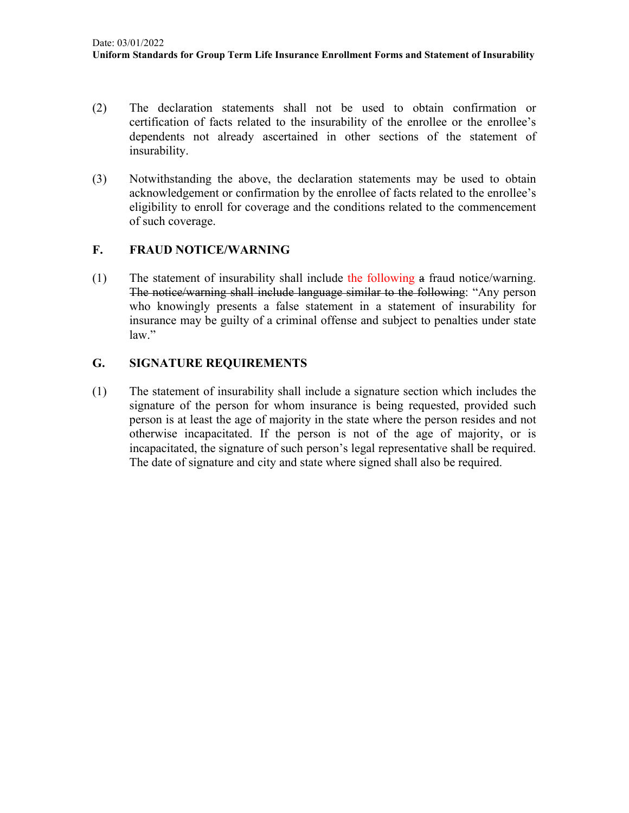- (2) The declaration statements shall not be used to obtain confirmation or certification of facts related to the insurability of the enrollee or the enrollee's dependents not already ascertained in other sections of the statement of insurability.
- (3) Notwithstanding the above, the declaration statements may be used to obtain acknowledgement or confirmation by the enrollee of facts related to the enrollee's eligibility to enroll for coverage and the conditions related to the commencement of such coverage.

#### **F. FRAUD NOTICE/WARNING**

(1) The statement of insurability shall include the following a fraud notice/warning. The notice/warning shall include language similar to the following: "Any person who knowingly presents a false statement in a statement of insurability for insurance may be guilty of a criminal offense and subject to penalties under state law."

### **G. SIGNATURE REQUIREMENTS**

(1) The statement of insurability shall include a signature section which includes the signature of the person for whom insurance is being requested, provided such person is at least the age of majority in the state where the person resides and not otherwise incapacitated. If the person is not of the age of majority, or is incapacitated, the signature of such person's legal representative shall be required. The date of signature and city and state where signed shall also be required.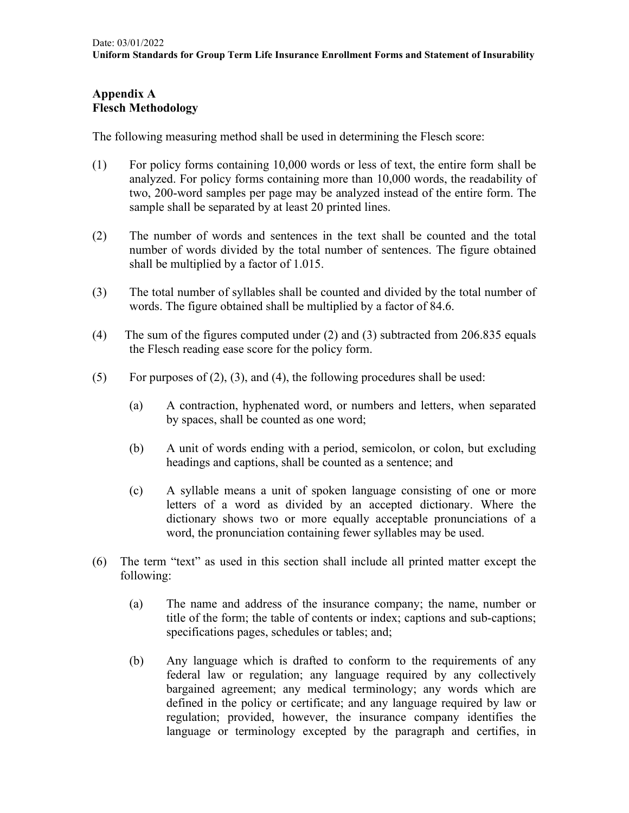# **Appendix A Flesch Methodology**

The following measuring method shall be used in determining the Flesch score:

- (1) For policy forms containing 10,000 words or less of text, the entire form shall be analyzed. For policy forms containing more than 10,000 words, the readability of two, 200-word samples per page may be analyzed instead of the entire form. The sample shall be separated by at least 20 printed lines.
- (2) The number of words and sentences in the text shall be counted and the total number of words divided by the total number of sentences. The figure obtained shall be multiplied by a factor of 1.015.
- (3) The total number of syllables shall be counted and divided by the total number of words. The figure obtained shall be multiplied by a factor of 84.6.
- (4) The sum of the figures computed under (2) and (3) subtracted from 206.835 equals the Flesch reading ease score for the policy form.
- (5) For purposes of  $(2)$ ,  $(3)$ , and  $(4)$ , the following procedures shall be used:
	- (a) A contraction, hyphenated word, or numbers and letters, when separated by spaces, shall be counted as one word;
	- (b) A unit of words ending with a period, semicolon, or colon, but excluding headings and captions, shall be counted as a sentence; and
	- (c) A syllable means a unit of spoken language consisting of one or more letters of a word as divided by an accepted dictionary. Where the dictionary shows two or more equally acceptable pronunciations of a word, the pronunciation containing fewer syllables may be used.
- (6) The term "text" as used in this section shall include all printed matter except the following:
	- (a) The name and address of the insurance company; the name, number or title of the form; the table of contents or index; captions and sub-captions; specifications pages, schedules or tables; and;
	- (b) Any language which is drafted to conform to the requirements of any federal law or regulation; any language required by any collectively bargained agreement; any medical terminology; any words which are defined in the policy or certificate; and any language required by law or regulation; provided, however, the insurance company identifies the language or terminology excepted by the paragraph and certifies, in